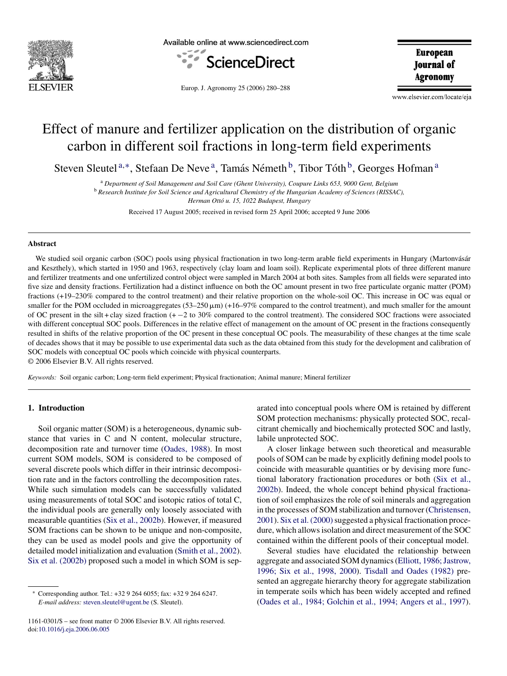

Available online at www.sciencedirect.com



**European Journal of Agronomy** 

Europ. J. Agronomy 25 (2006) 280–288

www.elsevier.com/locate/eja

# Effect of manure and fertilizer application on the distribution of organic carbon in different soil fractions in long-term field experiments

Steven Sleutel<sup>a,∗</sup>, Stefaan De Neve<sup>a</sup>, Tamás Németh <sup>b</sup>, Tibor Tóth <sup>b</sup>, Georges Hofman <sup>a</sup>

<sup>a</sup> *Department of Soil Management and Soil Care (Ghent University), Coupure Links 653, 9000 Gent, Belgium*

<sup>b</sup> *Research Institute for Soil Science and Agricultural Chemistry of the Hungarian Academy of Sciences (RISSAC),*

Herman Ottó u. 15, 1022 Budapest, Hungary

Received 17 August 2005; received in revised form 25 April 2006; accepted 9 June 2006

# **Abstract**

We studied soil organic carbon (SOC) pools using physical fractionation in two long-term arable field experiments in Hungary (Martonvásár and Keszthely), which started in 1950 and 1963, respectively (clay loam and loam soil). Replicate experimental plots of three different manure and fertilizer treatments and one unfertilized control object were sampled in March 2004 at both sites. Samples from all fields were separated into five size and density fractions. Fertilization had a distinct influence on both the OC amount present in two free particulate organic matter (POM) fractions (+19–230% compared to the control treatment) and their relative proportion on the whole-soil OC. This increase in OC was equal or smaller for the POM occluded in microaggregates  $(53-250 \,\mu\text{m})$  (+16–97% compared to the control treatment), and much smaller for the amount of OC present in the silt + clay sized fraction (+ −2 to 30% compared to the control treatment). The considered SOC fractions were associated with different conceptual SOC pools. Differences in the relative effect of management on the amount of OC present in the fractions consequently resulted in shifts of the relative proportion of the OC present in these conceptual OC pools. The measurability of these changes at the time scale of decades shows that it may be possible to use experimental data such as the data obtained from this study for the development and calibration of SOC models with conceptual OC pools which coincide with physical counterparts. © 2006 Elsevier B.V. All rights reserved.

*Keywords:* Soil organic carbon; Long-term field experiment; Physical fractionation; Animal manure; Mineral fertilizer

# **1. Introduction**

Soil organic matter (SOM) is a heterogeneous, dynamic substance that varies in C and N content, molecular structure, decomposition rate and turnover time ([Oades, 1988\).](#page-8-0) In most current SOM models, SOM is considered to be composed of several discrete pools which differ in their intrinsic decomposition rate and in the factors controlling the decomposition rates. While such simulation models can be successfully validated using measurements of total SOC and isotopic ratios of total C, the individual pools are generally only loosely associated with measurable quantities ([Six et al., 2002b\).](#page-8-0) However, if measured SOM fractions can be shown to be unique and non-composite, they can be used as model pools and give the opportunity of detailed model initialization and evaluation ([Smith et al., 2002\).](#page-8-0) [Six et al. \(2002b\)](#page-8-0) proposed such a model in which SOM is sep-

1161-0301/\$ – see front matter © 2006 Elsevier B.V. All rights reserved. doi[:10.1016/j.eja.2006.06.005](dx.doi.org/10.1016/j.eja.2006.06.005)

arated into conceptual pools where OM is retained by different SOM protection mechanisms: physically protected SOC, recalcitrant chemically and biochemically protected SOC and lastly, labile unprotected SOC.

A closer linkage between such theoretical and measurable pools of SOM can be made by explicitly defining model pools to coincide with measurable quantities or by devising more functional laboratory fractionation procedures or both ([Six et al.,](#page-8-0) [2002b\).](#page-8-0) Indeed, the whole concept behind physical fractionation of soil emphasizes the role of soil minerals and aggregation in the processes of SOM stabilization and turnover [\(Christensen,](#page-8-0) [2001\).](#page-8-0) Six et al. (2000) suggested a physical fractionation procedure, which allows isolation and direct measurement of the SOC contained within the different pools of their conceptual model.

Several studies have elucidated the relationship between aggregate and associated SOM dynamics [\(Elliott, 1986; Jastrow,](#page-8-0) [1996; Six et al., 1998, 2000\).](#page-8-0) [Tisdall and Oades \(1982\)](#page-8-0) presented an aggregate hierarchy theory for aggregate stabilization in temperate soils which has been widely accepted and refined [\(Oades et al., 1984; Golchin et al., 1994; Angers et al., 1997\).](#page-8-0)

<sup>∗</sup> Corresponding author. Tel.: +32 9 264 6055; fax: +32 9 264 6247. *E-mail address:* [steven.sleutel@ugent.be](mailto:steven.sleutel@ugent.be) (S. Sleutel).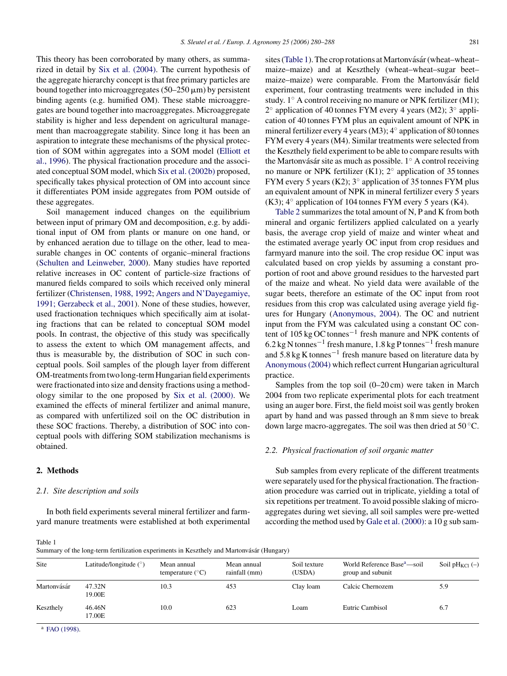This theory has been corroborated by many others, as summarized in detail by [Six et al. \(2004\).](#page-8-0) The current hypothesis of the aggregate hierarchy concept is that free primary particles are bound together into microaggregates  $(50-250 \,\mu\text{m})$  by persistent binding agents (e.g. humified OM). These stable microaggregates are bound together into macroaggregates. Microaggregate stability is higher and less dependent on agricultural management than macroaggregate stability. Since long it has been an aspiration to integrate these mechanisms of the physical protection of SOM within aggregates into a SOM model [\(Elliott et](#page-8-0) [al., 1996\).](#page-8-0) The physical fractionation procedure and the associated conceptual SOM model, which [Six et al. \(2002b\)](#page-8-0) proposed, specifically takes physical protection of OM into account since it differentiates POM inside aggregates from POM outside of these aggregates.

Soil management induced changes on the equilibrium between input of primary OM and decomposition, e.g. by additional input of OM from plants or manure on one hand, or by enhanced aeration due to tillage on the other, lead to measurable changes in OC contents of organic–mineral fractions ([Schulten and Leinweber, 2000\).](#page-8-0) Many studies have reported relative increases in OC content of particle-size fractions of manured fields compared to soils which received only mineral fertilizer [\(Christensen, 1988, 1992;](#page-8-0) [Angers and N'Dayegamiye,](#page-8-0) [1991; Gerzabeck et al., 2001\).](#page-8-0) None of these studies, however, used fractionation techniques which specifically aim at isolating fractions that can be related to conceptual SOM model pools. In contrast, the objective of this study was specifically to assess the extent to which OM management affects, and thus is measurable by, the distribution of SOC in such conceptual pools. Soil samples of the plough layer from different OM-treatments from two long-term Hungarian field experiments were fractionated into size and density fractions using a methodology similar to the one proposed by [Six et al. \(2000\).](#page-8-0) We examined the effects of mineral fertilizer and animal manure, as compared with unfertilized soil on the OC distribution in these SOC fractions. Thereby, a distribution of SOC into conceptual pools with differing SOM stabilization mechanisms is obtained.

# **2. Methods**

#### *2.1. Site description and soils*

In both field experiments several mineral fertilizer and farmyard manure treatments were established at both experimental sites (Table 1). The crop rotations at Martonvásár (wheat–wheat– maize–maize) and at Keszthely (wheat–wheat–sugar beet– maize–maize) were comparable. From the Martonvásár field experiment, four contrasting treatments were included in this study. 1◦ A control receiving no manure or NPK fertilizer (M1);  $2^\circ$  application of 40 tonnes FYM every 4 years (M2);  $3^\circ$  application of 40 tonnes FYM plus an equivalent amount of NPK in mineral fertilizer every 4 years (M3); 4◦ application of 80 tonnes FYM every 4 years (M4). Similar treatments were selected from the Keszthely field experiment to be able to compare results with the Martonvásár site as much as possible.  $1^\circ$  A control receiving no manure or NPK fertilizer (K1); 2◦ application of 35 tonnes FYM every 5 years (K2);  $3^\circ$  application of 35 tonnes FYM plus an equivalent amount of NPK in mineral fertilizer every 5 years  $(K3)$ ;  $4^\circ$  application of 104 tonnes FYM every 5 years  $(K4)$ .

[Table 2](#page-2-0) summarizes the total amount of N, P and K from both mineral and organic fertilizers applied calculated on a yearly basis, the average crop yield of maize and winter wheat and the estimated average yearly OC input from crop residues and farmyard manure into the soil. The crop residue OC input was calculated based on crop yields by assuming a constant proportion of root and above ground residues to the harvested part of the maize and wheat. No yield data were available of the sugar beets, therefore an estimate of the OC input from root residues from this crop was calculated using average yield figures for Hungary [\(Anonymous, 2004\).](#page-8-0) The OC and nutrient input from the FYM was calculated using a constant OC content of 105 kg OC tonnes−<sup>1</sup> fresh manure and NPK contents of 6.2 kg N tonnes−<sup>1</sup> fresh manure, 1.8 kg P tonnes−<sup>1</sup> fresh manure and 5.8 kg K tonnes−<sup>1</sup> fresh manure based on literature data by [Anonymous \(2004\)](#page-8-0) which reflect current Hungarian agricultural practice.

Samples from the top soil (0–20 cm) were taken in March 2004 from two replicate experimental plots for each treatment using an auger bore. First, the field moist soil was gently broken apart by hand and was passed through an 8 mm sieve to break down large macro-aggregates. The soil was then dried at 50 ◦C.

# *2.2. Physical fractionation of soil organic matter*

Sub samples from every replicate of the different treatments were separately used for the physical fractionation. The fractionation procedure was carried out in triplicate, yielding a total of six repetitions per treatment. To avoid possible slaking of microaggregates during wet sieving, all soil samples were pre-wetted according the method used by [Gale et al. \(2000\): a](#page-8-0) 10 g sub sam-

Table 1

Summary of the long-term fertilization experiments in Keszthely and Martonvásár (Hungary)

| Site        | Latitude/longitude $(°)$ | Mean annual<br>temperature $(^{\circ}C)$ | Mean annual<br>rainfall (mm) | Soil texture<br>(USDA) | World Reference Base <sup>a</sup> —soil<br>group and subunit | Soil $pH_{\text{KC1}}(-)$ |
|-------------|--------------------------|------------------------------------------|------------------------------|------------------------|--------------------------------------------------------------|---------------------------|
| Martonvásár | 47.32N<br>19.00E         | 10.3                                     | 453                          | Clay loam              | Calcic Chernozem                                             | 5.9                       |
| Keszthely   | 46.46N<br>17.00E         | 10.0                                     | 623                          | Loam                   | Eutric Cambisol                                              | 6.7                       |

<sup>a</sup> [FAO \(1998\).](#page-8-0)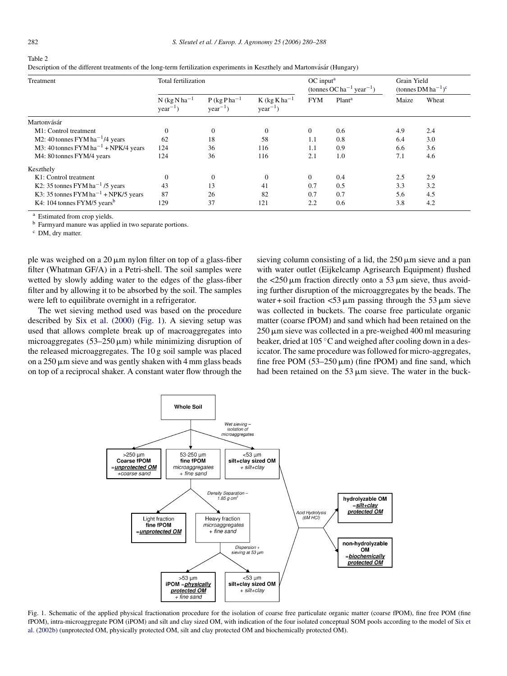| Description of the different treatments of the long-term fertilization experiments in Keszthely and Martonyásár (Hungary) |                                             |                                               |                                               |                                                                             |                    |                                                           |       |
|---------------------------------------------------------------------------------------------------------------------------|---------------------------------------------|-----------------------------------------------|-----------------------------------------------|-----------------------------------------------------------------------------|--------------------|-----------------------------------------------------------|-------|
| Treatment                                                                                                                 | Total fertilization                         |                                               |                                               | $OC$ input <sup>a</sup><br>(tonnes OC ha <sup>-1</sup> year <sup>-1</sup> ) |                    | Grain Yield<br>(tonnes DM ha <sup>-1</sup> ) <sup>c</sup> |       |
|                                                                                                                           | N (kg $N$ ha <sup>-1</sup><br>$year^{-1}$ ) | $P$ (kg P ha <sup>-1</sup> )<br>$year^{-1}$ ) | $K$ (kg K ha <sup>-1</sup> )<br>$year^{-1}$ ) | <b>FYM</b>                                                                  | Plant <sup>a</sup> | Maize                                                     | Wheat |
| Martonvásár                                                                                                               |                                             |                                               |                                               |                                                                             |                    |                                                           |       |
| M1: Control treatment                                                                                                     |                                             |                                               |                                               | 0                                                                           | 0.6                | 4.9                                                       | 2.4   |
| M2: 40 tonnes FYM ha <sup>-1</sup> /4 years                                                                               | 62                                          | 18                                            | 58                                            | 1.1                                                                         | 0.8                | 6.4                                                       | 3.0   |
| M3: 40 tonnes $FYM$ ha <sup>-1</sup> + NPK/4 years                                                                        | 124                                         | 36                                            | 116                                           | 1.1                                                                         | 0.9                | 6.6                                                       | 3.6   |
| M4: 80 tonnes FYM/4 years                                                                                                 | 124                                         | 36                                            | 116                                           | 2.1                                                                         | $1.0\,$            | 7.1                                                       | 4.6   |

K1: Control treatment 0 0 0 0 0 0.4 2.5 2.9 K2: 35 tonnes FYM ha<sup>-1</sup> /5 years 43 13 41 0.7 0.5 3.3 3.2 K3: 35 tonnes FYM ha<sup>−1</sup> + NPK/5 years 87 26 82 0.7 0.7 5.6 4.5 K4: 104 tonnes FYM/5 years<sup>b</sup> 129 37 121 2.2 0.6 3.8 4.2

<span id="page-2-0"></span>Table 2

<sup>a</sup> Estimated from crop yields.

<sup>b</sup> Farmyard manure was applied in two separate portions.

<sup>c</sup> DM, dry matter.

Keszthely

ple was weighed on a  $20 \mu m$  nylon filter on top of a glass-fiber filter (Whatman GF/A) in a Petri-shell. The soil samples were wetted by slowly adding water to the edges of the glass-fiber filter and by allowing it to be absorbed by the soil. The samples were left to equilibrate overnight in a refrigerator.

The wet sieving method used was based on the procedure described by [Six et al. \(2000\)](#page-8-0) (Fig. 1). A sieving setup was used that allows complete break up of macroaggregates into microaggregates  $(53-250 \,\mu\text{m})$  while minimizing disruption of the released microaggregates. The 10 g soil sample was placed on a  $250 \mu m$  sieve and was gently shaken with 4 mm glass beads on top of a reciprocal shaker. A constant water flow through the

sieving column consisting of a lid, the  $250 \mu m$  sieve and a pan with water outlet (Eijkelcamp Agrisearch Equipment) flushed the  $\langle 250 \mu \text{m}$  fraction directly onto a 53  $\mu \text{m}$  sieve, thus avoiding further disruption of the microaggregates by the beads. The water + soil fraction  $\langle 53 \mu \text{m} \rangle$  passing through the 53  $\mu$ m sieve was collected in buckets. The coarse free particulate organic matter (coarse fPOM) and sand which had been retained on the  $250 \mu m$  sieve was collected in a pre-weighed 400 ml measuring beaker, dried at 105 ◦C and weighed after cooling down in a desiccator. The same procedure was followed for micro-aggregates, fine free POM  $(53-250 \,\mu\text{m})$  (fine fPOM) and fine sand, which had been retained on the  $53 \mu m$  sieve. The water in the buck-



Fig. 1. Schematic of the applied physical fractionation procedure for the isolation of coarse free particulate organic matter (coarse fPOM), fine free POM (fine fPOM), intra-microaggregate POM (iPOM) and silt and clay sized OM, with indication of the four isolated conceptual SOM pools according to the model of [Six et](#page-8-0) [al. \(2002b\)](#page-8-0) (unprotected OM, physically protected OM, silt and clay protected OM and biochemically protected OM).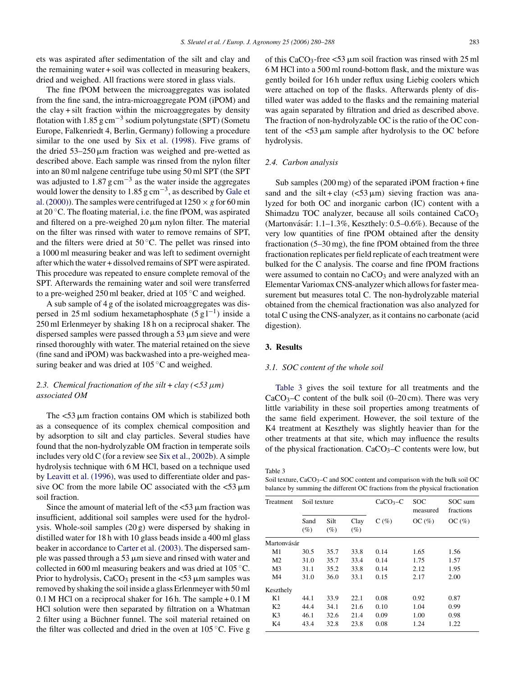<span id="page-3-0"></span>ets was aspirated after sedimentation of the silt and clay and the remaining water + soil was collected in measuring beakers, dried and weighed. All fractions were stored in glass vials.

The fine fPOM between the microaggregates was isolated from the fine sand, the intra-microaggregate POM (iPOM) and the clay + silt fraction within the microaggregates by density flotation with 1.85 g cm−<sup>3</sup> sodium polytungstate (SPT) (Sometu Europe, Falkenriedt 4, Berlin, Germany) following a procedure similar to the one used by [Six et al. \(1998\).](#page-8-0) Five grams of the dried  $53-250 \mu m$  fraction was weighed and pre-wetted as described above. Each sample was rinsed from the nylon filter into an 80 ml nalgene centrifuge tube using 50 ml SPT (the SPT was adjusted to  $1.87 \text{ g cm}^{-3}$  as the water inside the aggregates would lower the density to 1.85  $\rm g$  cm<sup>-3</sup>, as described by [Gale et](#page-8-0) [al. \(2000\)\).](#page-8-0) The samples were centrifuged at  $1250 \times g$  for 60 min at 20 ◦C. The floating material, i.e. the fine fPOM, was aspirated and filtered on a pre-weighed  $20 \mu m$  nylon filter. The material on the filter was rinsed with water to remove remains of SPT, and the filters were dried at  $50^{\circ}$ C. The pellet was rinsed into a 1000 ml measuring beaker and was left to sediment overnight after which the water + dissolved remains of SPT were aspirated. This procedure was repeated to ensure complete removal of the SPT. Afterwards the remaining water and soil were transferred to a pre-weighed 250 ml beaker, dried at 105 ◦C and weighed.

A sub sample of 4 g of the isolated microaggregates was dispersed in 25 ml sodium hexametaphosphate  $(5 \text{ g} 1^{-1})$  inside a 250 ml Erlenmeyer by shaking 18 h on a reciprocal shaker. The dispersed samples were passed through a  $53 \mu m$  sieve and were rinsed thoroughly with water. The material retained on the sieve (fine sand and iPOM) was backwashed into a pre-weighed measuring beaker and was dried at 105 °C and weighed.

# *2.3. Chemical fractionation of the silt + clay (<53*µ*m) associated OM*

The  $\lt 53 \mu m$  fraction contains OM which is stabilized both as a consequence of its complex chemical composition and by adsorption to silt and clay particles. Several studies have found that the non-hydrolyzable OM fraction in temperate soils includes very old C (for a review see [Six et al., 2002b\).](#page-8-0) A simple hydrolysis technique with 6 M HCl, based on a technique used by [Leavitt et al. \(1996\),](#page-8-0) was used to differentiate older and passive OC from the more labile OC associated with the  $\lt 53 \,\mu m$ soil fraction.

Since the amount of material left of the  $\lt 53 \mu m$  fraction was insufficient, additional soil samples were used for the hydrolysis. Whole-soil samples (20 g) were dispersed by shaking in distilled water for 18 h with 10 glass beads inside a 400 ml glass beaker in accordance to [Carter et al. \(2003\).](#page-8-0) The dispersed sample was passed through a 53  $\mu$ m sieve and rinsed with water and collected in 600 ml measuring beakers and was dried at 105 ◦C. Prior to hydrolysis, CaCO<sub>3</sub> present in the  $\lt 53 \mu m$  samples was removed by shaking the soil inside a glass Erlenmeyer with 50 ml 0.1 M HCl on a reciprocal shaker for 16 h. The sample + 0.1 M HCl solution were then separated by filtration on a Whatman 2 filter using a Büchner funnel. The soil material retained on the filter was collected and dried in the oven at 105 ◦C. Five g

of this CaCO<sub>3</sub>-free  $\leq$ 53  $\mu$ m soil fraction was rinsed with 25 ml 6 M HCl into a 500 ml round-bottom flask, and the mixture was gently boiled for 16 h under reflux using Liebig coolers which were attached on top of the flasks. Afterwards plenty of distilled water was added to the flasks and the remaining material was again separated by filtration and dried as described above. The fraction of non-hydrolyzable OC is the ratio of the OC content of the  $\leq 53 \mu m$  sample after hydrolysis to the OC before hydrolysis.

# *2.4. Carbon analysis*

Sub samples (200 mg) of the separated iPOM fraction + fine sand and the silt + clay  $(<53 \,\mu m$ ) sieving fraction was analyzed for both OC and inorganic carbon (IC) content with a Shimadzu TOC analyzer, because all soils contained CaCO<sub>3</sub> (Martonvásár:  $1.1-1.3\%$ , Keszthely: 0.5–0.6%). Because of the very low quantities of fine fPOM obtained after the density fractionation (5–30 mg), the fine fPOM obtained from the three fractionation replicates per field replicate of each treatment were bulked for the C analysis. The coarse and fine fPOM fractions were assumed to contain no  $CaCO<sub>3</sub>$  and were analyzed with an Elementar Variomax CNS-analyzer which allows for faster measurement but measures total C. The non-hydrolyzable material obtained from the chemical fractionation was also analyzed for total C using the CNS-analyzer, as it contains no carbonate (acid digestion).

# **3. Results**

# *3.1. SOC content of the whole soil*

Table 3 gives the soil texture for all treatments and the  $CaCO<sub>3</sub>-C$  content of the bulk soil (0–20 cm). There was very little variability in these soil properties among treatments of the same field experiment. However, the soil texture of the K4 treatment at Keszthely was slightly heavier than for the other treatments at that site, which may influence the results of the physical fractionation.  $CaCO<sub>3</sub>-C$  contents were low, but

Table 3

Soil texture, CaCO<sub>3</sub>-C and SOC content and comparison with the bulk soil OC balance by summing the different OC fractions from the physical fractionation

| Treatment      | Soil texture   |                |             | $CaCO3-C$ | <b>SOC</b><br>measured | SOC sum<br>fractions |
|----------------|----------------|----------------|-------------|-----------|------------------------|----------------------|
|                | Sand<br>$(\%)$ | Silt<br>$(\%)$ | Clay<br>(%) | $C(\%)$   | OC(%)                  | OC(%)                |
| Martonyásár    |                |                |             |           |                        |                      |
| M1             | 30.5           | 35.7           | 33.8        | 0.14      | 1.65                   | 1.56                 |
| M <sub>2</sub> | 31.0           | 35.7           | 33.4        | 0.14      | 1.75                   | 1.57                 |
| M <sub>3</sub> | 31.1           | 35.2           | 33.8        | 0.14      | 2.12                   | 1.95                 |
| M <sub>4</sub> | 31.0           | 36.0           | 33.1        | 0.15      | 2.17                   | 2.00                 |
| Keszthely      |                |                |             |           |                        |                      |
| K1             | 44.1           | 33.9           | 22.1        | 0.08      | 0.92                   | 0.87                 |
| K <sub>2</sub> | 44.4           | 34.1           | 21.6        | 0.10      | 1.04                   | 0.99                 |
| K <sub>3</sub> | 46.1           | 32.6           | 21.4        | 0.09      | 1.00                   | 0.98                 |
| K4             | 43.4           | 32.8           | 23.8        | 0.08      | 1.24                   | 1.22                 |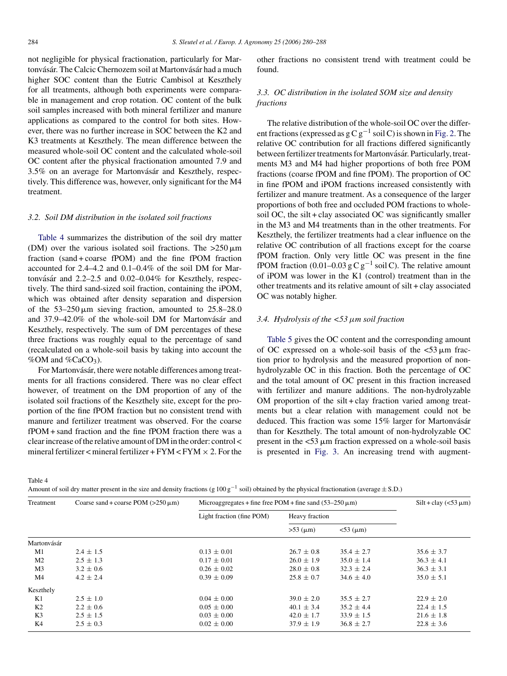not negligible for physical fractionation, particularly for Martonvásár. The Calcic Chernozem soil at Martonvásár had a much higher SOC content than the Eutric Cambisol at Keszthely for all treatments, although both experiments were comparable in management and crop rotation. OC content of the bulk soil samples increased with both mineral fertilizer and manure applications as compared to the control for both sites. However, there was no further increase in SOC between the K2 and K3 treatments at Keszthely. The mean difference between the measured whole-soil OC content and the calculated whole-soil OC content after the physical fractionation amounted 7.9 and 3.5% on an average for Martonvásár and Keszthely, respectively. This difference was, however, only significant for the M4 treatment.

#### *3.2. Soil DM distribution in the isolated soil fractions*

Table 4 summarizes the distribution of the soil dry matter (DM) over the various isolated soil fractions. The  $>250 \,\mu m$ fraction (sand + coarse fPOM) and the fine fPOM fraction accounted for 2.4–4.2 and 0.1–0.4% of the soil DM for Martonvásár and  $2.2-2.5$  and  $0.02-0.04\%$  for Keszthely, respectively. The third sand-sized soil fraction, containing the iPOM, which was obtained after density separation and dispersion of the  $53-250 \mu m$  sieving fraction, amounted to  $25.8-28.0$ and  $37.9-42.0\%$  of the whole-soil DM for Martonvásár and Keszthely, respectively. The sum of DM percentages of these three fractions was roughly equal to the percentage of sand (recalculated on a whole-soil basis by taking into account the  $%$ OM and  $%$ CaCO<sub>3</sub>).

For Martonvásár, there were notable differences among treatments for all fractions considered. There was no clear effect however, of treatment on the DM proportion of any of the isolated soil fractions of the Keszthely site, except for the proportion of the fine fPOM fraction but no consistent trend with manure and fertilizer treatment was observed. For the coarse fPOM + sand fraction and the fine fPOM fraction there was a clear increase of the relative amount of DM in the order: control < mineral fertilizer  $\lt$  mineral fertilizer + FYM  $\lt$  FYM  $\times$  2. For the other fractions no consistent trend with treatment could be found.

# *3.3. OC distribution in the isolated SOM size and density fractions*

The relative distribution of the whole-soil OC over the different fractions (expressed as g C  $g^{-1}$  soil C) is shown in [Fig. 2. T](#page-5-0)he relative OC contribution for all fractions differed significantly between fertilizer treatments for Martonvásár. Particularly, treatments M3 and M4 had higher proportions of both free POM fractions (coarse fPOM and fine fPOM). The proportion of OC in fine fPOM and iPOM fractions increased consistently with fertilizer and manure treatment. As a consequence of the larger proportions of both free and occluded POM fractions to wholesoil OC, the silt + clay associated OC was significantly smaller in the M3 and M4 treatments than in the other treatments. For Keszthely, the fertilizer treatments had a clear influence on the relative OC contribution of all fractions except for the coarse fPOM fraction. Only very little OC was present in the fine fPOM fraction (0.01–0.03 g C  $g^{-1}$  soil C). The relative amount of iPOM was lower in the K1 (control) treatment than in the other treatments and its relative amount of silt + clay associated OC was notably higher.

# *3.4. Hydrolysis of the <53*µ*m soil fraction*

[Table 5](#page-5-0) gives the OC content and the corresponding amount of OC expressed on a whole-soil basis of the  $\lt 53 \mu m$  fraction prior to hydrolysis and the measured proportion of nonhydrolyzable OC in this fraction. Both the percentage of OC and the total amount of OC present in this fraction increased with fertilizer and manure additions. The non-hydrolyzable OM proportion of the silt + clay fraction varied among treatments but a clear relation with management could not be deduced. This fraction was some  $15\%$  larger for Martonvásár than for Keszthely. The total amount of non-hydrolyzable OC present in the  $\leq 53 \mu m$  fraction expressed on a whole-soil basis is presented in [Fig. 3.](#page-5-0) An increasing trend with augment-

Table 4

Amount of soil dry matter present in the size and density fractions (g  $100 \text{ g}^{-1}$  soil) obtained by the physical fractionation (average  $\pm$  S.D.)

| Treatment      | Coarse sand + coarse POM $(>250 \,\mu m)$ | Microaggregates + fine free $POM$ + fine sand (53–250 $\mu$ m) | $Silt + clay \left( \langle 53 \mu m \rangle \right)$ |                   |                |
|----------------|-------------------------------------------|----------------------------------------------------------------|-------------------------------------------------------|-------------------|----------------|
|                |                                           | Light fraction (fine POM)                                      | Heavy fraction                                        |                   |                |
|                |                                           |                                                                | $>53 \, (\mu m)$                                      | $< 53 \, (\mu m)$ |                |
| Martonyásár    |                                           |                                                                |                                                       |                   |                |
| M1             | $2.4 \pm 1.5$                             | $0.13 \pm 0.01$                                                | $26.7 \pm 0.8$                                        | $35.4 \pm 2.7$    | $35.6 \pm 3.7$ |
| M <sub>2</sub> | $2.5 \pm 1.3$                             | $0.17 \pm 0.01$                                                | $26.0 \pm 1.9$                                        | $35.0 \pm 1.4$    | $36.3 \pm 4.1$ |
| M <sub>3</sub> | $3.2 \pm 0.6$                             | $0.26 \pm 0.02$                                                | $28.0 \pm 0.8$                                        | $32.3 \pm 2.4$    | $36.3 \pm 3.1$ |
| M <sub>4</sub> | $4.2 \pm 2.4$                             | $0.39 \pm 0.09$                                                | $25.8 \pm 0.7$                                        | $34.6 \pm 4.0$    | $35.0 \pm 5.1$ |
| Keszthely      |                                           |                                                                |                                                       |                   |                |
| K1             | $2.5 \pm 1.0$                             | $0.04 \pm 0.00$                                                | $39.0 \pm 2.0$                                        | $35.5 \pm 2.7$    | $22.9 \pm 2.0$ |
| K <sub>2</sub> | $2.2 \pm 0.6$                             | $0.05 \pm 0.00$                                                | $40.1 \pm 3.4$                                        | $35.2 \pm 4.4$    | $22.4 \pm 1.5$ |
| K <sub>3</sub> | $2.5 \pm 1.5$                             | $0.03 \pm 0.00$                                                | $42.0 \pm 1.7$                                        | $33.9 \pm 1.5$    | $21.6 \pm 1.8$ |
| K4             | $2.5 \pm 0.3$                             | $0.02 \pm 0.00$                                                | $37.9 \pm 1.9$                                        | $36.8 \pm 2.7$    | $22.8 \pm 3.6$ |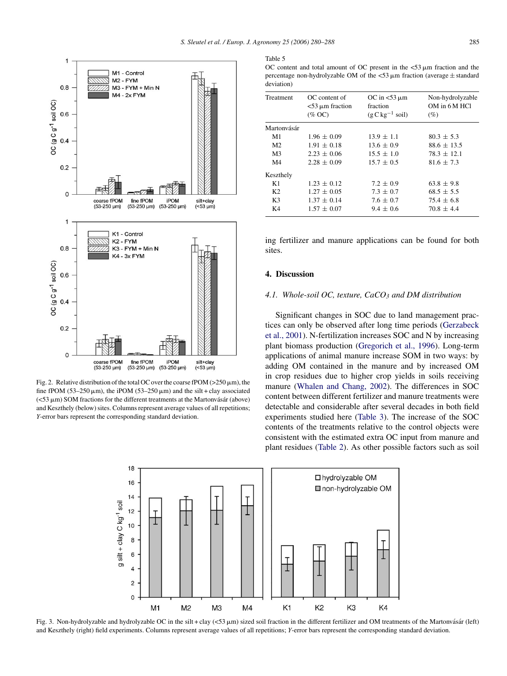<span id="page-5-0"></span>

Fig. 2. Relative distribution of the total OC over the coarse fPOM ( $>$ 250  $\mu$ m), the fine fPOM (53–250  $\mu$ m), the iPOM (53–250  $\mu$ m) and the silt + clay associated  $\epsilon$  (<53  $\mu$ m) SOM fractions for the different treatments at the Martonvásár (above) and Keszthely (below) sites. Columns represent average values of all repetitions; *Y*-error bars represent the corresponding standard deviation.



OC content and total amount of OC present in the  $\lt 53 \mu m$  fraction and the percentage non-hydrolyzable OM of the  $\lt 53 \mu$ m fraction (average  $\pm$  standard deviation)

| Treatment      | OC content of<br>$<$ 53 µm fraction<br>$(\%$ OC) | OC in $<$ 53 $\mu$ m<br>fraction<br>$(g C kg^{-1} soil)$ | Non-hydrolyzable<br>OM in 6 M HCl<br>(%) |
|----------------|--------------------------------------------------|----------------------------------------------------------|------------------------------------------|
| Martonvásár    |                                                  |                                                          |                                          |
| M <sub>1</sub> | $1.96 \pm 0.09$                                  | $13.9 \pm 1.1$                                           | $80.3 + 5.3$                             |
| M <sub>2</sub> | $1.91 \pm 0.18$                                  | $13.6 \pm 0.9$                                           | $88.6 \pm 13.5$                          |
| M <sub>3</sub> | $2.23 \pm 0.06$                                  | $15.5 \pm 1.0$                                           | $78.3 + 12.1$                            |
| M <sub>4</sub> | $2.28 \pm 0.09$                                  | $15.7 \pm 0.5$                                           | $81.6 \pm 7.3$                           |
| Keszthely      |                                                  |                                                          |                                          |
| K1             | $1.23 \pm 0.12$                                  | $7.2 \pm 0.9$                                            | $63.8 \pm 9.8$                           |
| K <sub>2</sub> | $1.27 \pm 0.05$                                  | $7.3 \pm 0.7$                                            | $68.5 \pm 5.5$                           |
| K <sub>3</sub> | $1.37 \pm 0.14$                                  | $7.6 \pm 0.7$                                            | $75.4 \pm 6.8$                           |
| K4             | $1.57 \pm 0.07$                                  | $9.4 \pm 0.6$                                            | $70.8 \pm 4.4$                           |

ing fertilizer and manure applications can be found for both sites.

## **4. Discussion**

## *4.1. Whole-soil OC, texture, CaCO3 and DM distribution*

Significant changes in SOC due to land management practices can only be observed after long time periods [\(Gerzabeck](#page-8-0) [et al., 2001\).](#page-8-0) N-fertilization increases SOC and N by increasing plant biomass production ([Gregorich et al., 1996\).](#page-8-0) Long-term applications of animal manure increase SOM in two ways: by adding OM contained in the manure and by increased OM in crop residues due to higher crop yields in soils receiving manure ([Whalen and Chang, 2002\).](#page-8-0) The differences in SOC content between different fertilizer and manure treatments were detectable and considerable after several decades in both field experiments studied here [\(Table 3\).](#page-3-0) The increase of the SOC contents of the treatments relative to the control objects were consistent with the estimated extra OC input from manure and plant residues ([Table 2\).](#page-2-0) As other possible factors such as soil



Fig. 3. Non-hydrolyzable and hydrolyzable OC in the silt + clay (<53  $\mu$ m) sized soil fraction in the different fertilizer and OM treatments of the Martonvásár (left) and Keszthely (right) field experiments. Columns represent average values of all repetitions; *Y*-error bars represent the corresponding standard deviation.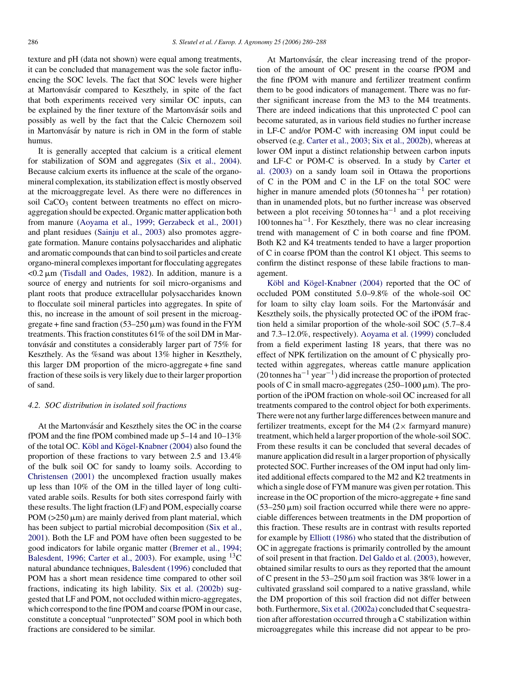texture and pH (data not shown) were equal among treatments, it can be concluded that management was the sole factor influencing the SOC levels. The fact that SOC levels were higher at Martonvásár compared to Keszthely, in spite of the fact that both experiments received very similar OC inputs, can be explained by the finer texture of the Martonvásár soils and possibly as well by the fact that the Calcic Chernozem soil in Martonvásár by nature is rich in OM in the form of stable humus.

It is generally accepted that calcium is a critical element for stabilization of SOM and aggregates [\(Six et al., 2004\).](#page-8-0) Because calcium exerts its influence at the scale of the organomineral complexation, its stabilization effect is mostly observed at the microaggregate level. As there were no differences in soil CaCO<sub>3</sub> content between treatments no effect on microaggregation should be expected. Organic matter application both from manure ([Aoyama et al., 1999; Gerzabeck et al., 2001\)](#page-8-0) and plant residues [\(Sainju et al., 2003\)](#page-8-0) also promotes aggregate formation. Manure contains polysaccharides and aliphatic and aromatic compounds that can bind to soil particles and create organo-mineral complexes important for flocculating aggregates  $<$ 0.2  $\mu$ m [\(Tisdall and Oades, 1982\).](#page-8-0) In addition, manure is a source of energy and nutrients for soil micro-organisms and plant roots that produce extracellular polysaccharides known to flocculate soil mineral particles into aggregates. In spite of this, no increase in the amount of soil present in the microaggregate + fine sand fraction (53–250  $\mu$ m) was found in the FYM treatments. This fraction constitutes 61% of the soil DM in Martonvásár and constitutes a considerably larger part of  $75\%$  for Keszthely. As the %sand was about 13% higher in Keszthely, this larger DM proportion of the micro-aggregate + fine sand fraction of these soils is very likely due to their larger proportion of sand.

## *4.2. SOC distribution in isolated soil fractions*

At the Martonvásár and Keszthely sites the OC in the coarse fPOM and the fine fPOM combined made up 5–14 and 10–13% of the total OC. Köbl and Kögel-Knabner (2004) also found the proportion of these fractions to vary between 2.5 and 13.4% of the bulk soil OC for sandy to loamy soils. According to [Christensen \(2001\)](#page-8-0) the uncomplexed fraction usually makes up less than 10% of the OM in the tilled layer of long cultivated arable soils. Results for both sites correspond fairly with these results. The light fraction (LF) and POM, especially coarse POM ( $>250 \mu m$ ) are mainly derived from plant material, which has been subject to partial microbial decomposition ([Six et al.,](#page-8-0) [2001\).](#page-8-0) Both the LF and POM have often been suggested to be good indicators for labile organic matter ([Bremer et al., 1994;](#page-8-0) [Balesdent, 1996; Carter et al., 2003\).](#page-8-0) For example, using <sup>13</sup>C natural abundance techniques, [Balesdent \(1996\)](#page-8-0) concluded that POM has a short mean residence time compared to other soil fractions, indicating its high lability. [Six et al. \(2002b\)](#page-8-0) suggested that LF and POM, not occluded within micro-aggregates, which correspond to the fine fPOM and coarse fPOM in our case, constitute a conceptual "unprotected" SOM pool in which both fractions are considered to be similar.

At Martonvásár, the clear increasing trend of the proportion of the amount of OC present in the coarse fPOM and the fine fPOM with manure and fertilizer treatment confirm them to be good indicators of management. There was no further significant increase from the M3 to the M4 treatments. There are indeed indications that this unprotected C pool can become saturated, as in various field studies no further increase in LF-C and/or POM-C with increasing OM input could be observed (e.g. [Carter et al., 2003; Six et al., 2002b\),](#page-8-0) whereas at lower OM input a distinct relationship between carbon inputs and LF-C or POM-C is observed. In a study by [Carter et](#page-8-0) [al. \(2003\)](#page-8-0) on a sandy loam soil in Ottawa the proportions of C in the POM and C in the LF on the total SOC were higher in manure amended plots (50 tonnes ha<sup>-1</sup> per rotation) than in unamended plots, but no further increase was observed between a plot receiving  $50$  tonnes ha<sup>-1</sup> and a plot receiving 100 tonnes ha−1. For Keszthely, there was no clear increasing trend with management of C in both coarse and fine fPOM. Both K2 and K4 treatments tended to have a larger proportion of C in coarse fPOM than the control K1 object. This seems to confirm the distinct response of these labile fractions to management.

Köbl and Kögel-Knabner (2004) reported that the OC of occluded POM constituted 5.0–9.8% of the whole-soil OC for loam to silty clay loam soils. For the Martonyásár and Keszthely soils, the physically protected OC of the iPOM fraction held a similar proportion of the whole-soil SOC (5.7–8.4 and 7.3–12.0%, respectively). [Aoyama et al. \(1999\)](#page-8-0) concluded from a field experiment lasting 18 years, that there was no effect of NPK fertilization on the amount of C physically protected within aggregates, whereas cattle manure application (20 tonnes ha<sup>-1</sup> year<sup>-1</sup>) did increase the proportion of protected pools of C in small macro-aggregates  $(250-1000 \,\mu m)$ . The proportion of the iPOM fraction on whole-soil OC increased for all treatments compared to the control object for both experiments. There were not any further large differences between manure and fertilizer treatments, except for the M4  $(2 \times$  farmyard manure) treatment, which held a larger proportion of the whole-soil SOC. From these results it can be concluded that several decades of manure application did result in a larger proportion of physically protected SOC. Further increases of the OM input had only limited additional effects compared to the M2 and K2 treatments in which a single dose of FYM manure was given per rotation. This increase in the OC proportion of the micro-aggregate + fine sand  $(53-250 \,\mu m)$  soil fraction occurred while there were no appreciable differences between treatments in the DM proportion of this fraction. These results are in contrast with results reported for example by [Elliott \(1986\)](#page-8-0) who stated that the distribution of OC in aggregate fractions is primarily controlled by the amount of soil present in that fraction. [Del Galdo et al. \(2003\), h](#page-8-0)owever, obtained similar results to ours as they reported that the amount of C present in the 53–250  $\mu$ m soil fraction was 38% lower in a cultivated grassland soil compared to a native grassland, while the DM proportion of this soil fraction did not differ between both. Furthermore, [Six et al. \(2002a\)](#page-8-0) concluded that C sequestration after afforestation occurred through a C stabilization within microaggregates while this increase did not appear to be pro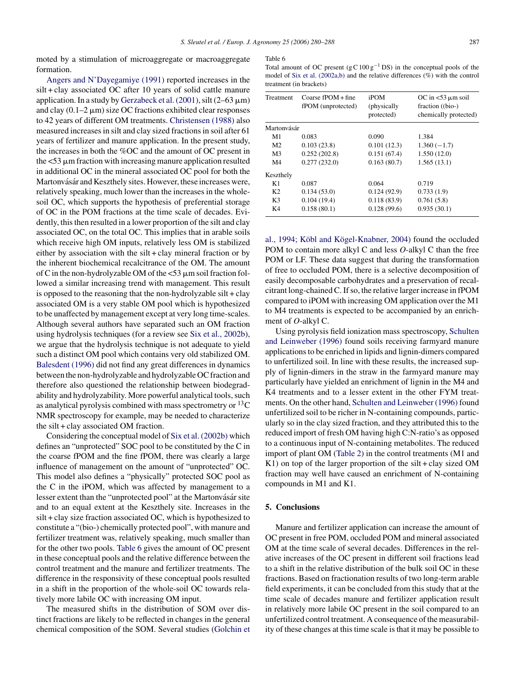moted by a stimulation of microaggregate or macroaggregate formation.

[Angers and N'Dayegamiye \(1991\)](#page-8-0) reported increases in the silt + clay associated OC after 10 years of solid cattle manure application. In a study by [Gerzabeck et al. \(2001\), s](#page-8-0)ilt (2–63  $\mu$ m) and clay  $(0.1-2 \mu m)$  size OC fractions exhibited clear responses to 42 years of different OM treatments. [Christensen \(1988\)](#page-8-0) also measured increases in silt and clay sized fractions in soil after 61 years of fertilizer and manure application. In the present study, the increases in both the %OC and the amount of OC present in the  $<$ 53  $\mu$ m fraction with increasing manure application resulted in additional OC in the mineral associated OC pool for both the Martonvásár and Keszthely sites. However, these increases were, relatively speaking, much lower than the increases in the wholesoil OC, which supports the hypothesis of preferential storage of OC in the POM fractions at the time scale of decades. Evidently, this then resulted in a lower proportion of the silt and clay associated OC, on the total OC. This implies that in arable soils which receive high OM inputs, relatively less OM is stabilized either by association with the silt + clay mineral fraction or by the inherent biochemical recalcitrance of the OM. The amount of C in the non-hydrolyzable OM of the  $\lt 53 \mu$ m soil fraction followed a similar increasing trend with management. This result is opposed to the reasoning that the non-hydrolyzable  $silt + clay$ associated OM is a very stable OM pool which is hypothesized to be unaffected by management except at very long time-scales. Although several authors have separated such an OM fraction using hydrolysis techniques (for a review see [Six et al., 2002b\),](#page-8-0) we argue that the hydrolysis technique is not adequate to yield such a distinct OM pool which contains very old stabilized OM. [Balesdent \(1996\)](#page-8-0) did not find any great differences in dynamics between the non-hydrolyzable and hydrolyzable OC fraction and therefore also questioned the relationship between biodegradability and hydrolyzability. More powerful analytical tools, such as analytical pyrolysis combined with mass spectrometry or  ${}^{13}C$ NMR spectroscopy for example, may be needed to characterize the silt + clay associated OM fraction.

Considering the conceptual model of [Six et al. \(2002b\)](#page-8-0) which defines an "unprotected" SOC pool to be constituted by the C in the coarse fPOM and the fine fPOM, there was clearly a large influence of management on the amount of "unprotected" OC. This model also defines a "physically" protected SOC pool as the C in the iPOM, which was affected by management to a lesser extent than the "unprotected pool" at the Martonvásár site and to an equal extent at the Keszthely site. Increases in the silt + clay size fraction associated OC, which is hypothesized to constitute a "(bio-) chemically protected pool", with manure and fertilizer treatment was, relatively speaking, much smaller than for the other two pools. Table 6 gives the amount of OC present in these conceptual pools and the relative difference between the control treatment and the manure and fertilizer treatments. The difference in the responsivity of these conceptual pools resulted in a shift in the proportion of the whole-soil OC towards relatively more labile OC with increasing OM input.

The measured shifts in the distribution of SOM over distinct fractions are likely to be reflected in changes in the general chemical composition of the SOM. Several studies ([Golchin et](#page-8-0)

#### Table 6

Total amount of OC present ( $g C 100 g^{-1} DS$ ) in the conceptual pools of the model of [Six et al. \(2002a,b\)](#page-8-0) and the relative differences (%) with the control treatment (in brackets)

| Treatment      | Coarse $fPOM + fine$<br>fPOM (unprotected) | iPOM<br>(physically)<br>protected) | OC in $<$ 53 $\mu$ m soil<br>fraction ((bio-)<br>chemically protected) |
|----------------|--------------------------------------------|------------------------------------|------------------------------------------------------------------------|
| Martonyásár    |                                            |                                    |                                                                        |
| M1             | 0.083                                      | 0.090                              | 1.384                                                                  |
| M <sub>2</sub> | 0.103(23.8)                                | 0.101(12.3)                        | $1.360(-1.7)$                                                          |
| M <sub>3</sub> | 0.252(202.8)                               | 0.151(67.4)                        | 1.550(12.0)                                                            |
| M4             | 0.277(232.0)                               | 0.163(80.7)                        | 1.565(13.1)                                                            |
| Keszthely      |                                            |                                    |                                                                        |
| K1             | 0.087                                      | 0.064                              | 0.719                                                                  |
| K <sub>2</sub> | 0.134(53.0)                                | 0.124(92.9)                        | 0.733(1.9)                                                             |
| K3             | 0.104(19.4)                                | 0.118(83.9)                        | 0.761(5.8)                                                             |
| K4             | 0.158(80.1)                                | 0.128(99.6)                        | 0.935(30.1)                                                            |

al., 1994; Köbl and Kögel-Knabner, 2004) found the occluded POM to contain more alkyl C and less *O*-alkyl C than the free POM or LF. These data suggest that during the transformation of free to occluded POM, there is a selective decomposition of easily decomposable carbohydrates and a preservation of recalcitrant long-chained C. If so, the relative larger increase in fPOM compared to iPOM with increasing OM application over the M1 to M4 treatments is expected to be accompanied by an enrichment of *O*-alkyl C.

Using pyrolysis field ionization mass spectroscopy, [Schulten](#page-8-0) [and Leinweber \(1996\)](#page-8-0) found soils receiving farmyard manure applications to be enriched in lipids and lignin-dimers compared to unfertilized soil. In line with these results, the increased supply of lignin-dimers in the straw in the farmyard manure may particularly have yielded an enrichment of lignin in the M4 and K4 treatments and to a lesser extent in the other FYM treatments. On the other hand, [Schulten and Leinweber \(1996\)](#page-8-0) found unfertilized soil to be richer in N-containing compounds, particularly so in the clay sized fraction, and they attributed this to the reduced import of fresh OM having high C:N-ratio's as opposed to a continuous input of N-containing metabolites. The reduced import of plant OM [\(Table 2\)](#page-2-0) in the control treatments (M1 and K1) on top of the larger proportion of the silt + clay sized OM fraction may well have caused an enrichment of N-containing compounds in M1 and K1.

# **5. Conclusions**

Manure and fertilizer application can increase the amount of OC present in free POM, occluded POM and mineral associated OM at the time scale of several decades. Differences in the relative increases of the OC present in different soil fractions lead to a shift in the relative distribution of the bulk soil OC in these fractions. Based on fractionation results of two long-term arable field experiments, it can be concluded from this study that at the time scale of decades manure and fertilizer application result in relatively more labile OC present in the soil compared to an unfertilized control treatment. A consequence of the measurability of these changes at this time scale is that it may be possible to